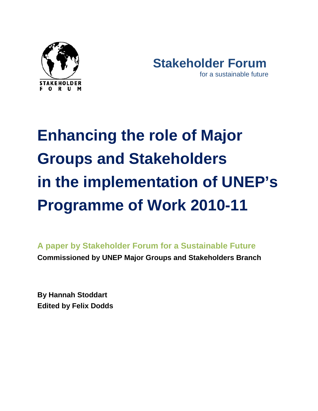



# **Enhancing the role of Major Groups and Stakeholders in the implementation of UNEP's Programme of Work 2010-11**

**A paper by Stakeholder Forum for a Sustainable Future Commissioned by UNEP Major Groups and Stakeholders Branch**

**By Hannah Stoddart Edited by Felix Dodds**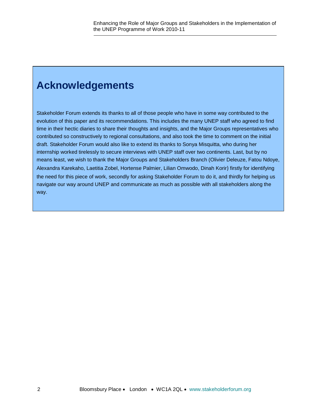# **Acknowledgements**

Stakeholder Forum extends its thanks to all of those people who have in some way contributed to the evolution of this paper and its recommendations. This includes the many UNEP staff who agreed to find time in their hectic diaries to share their thoughts and insights, and the Major Groups representatives who contributed so constructively to regional consultations, and also took the time to comment on the initial draft. Stakeholder Forum would also like to extend its thanks to Sonya Misquitta, who during her internship worked tirelessly to secure interviews with UNEP staff over two continents. Last, but by no means least, we wish to thank the Major Groups and Stakeholders Branch (Olivier Deleuze, Fatou Ndoye, Alexandra Karekaho, Laetitia Zobel, Hortense Palmier, Lilian Omwodo, Dinah Korir) firstly for identifying the need for this piece of work, secondly for asking Stakeholder Forum to do it, and thirdly for helping us navigate our way around UNEP and communicate as much as possible with all stakeholders along the way.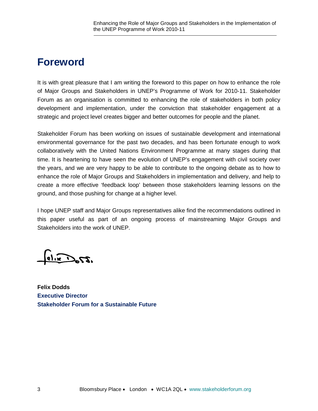# **Foreword**

It is with great pleasure that I am writing the foreword to this paper on how to enhance the role of Major Groups and Stakeholders in UNEP's Programme of Work for 2010-11. Stakeholder Forum as an organisation is committed to enhancing the role of stakeholders in both policy development and implementation, under the conviction that stakeholder engagement at a strategic and project level creates bigger and better outcomes for people and the planet.

Stakeholder Forum has been working on issues of sustainable development and international environmental governance for the past two decades, and has been fortunate enough to work collaboratively with the United Nations Environment Programme at many stages during that time. It is heartening to have seen the evolution of UNEP's engagement with civil society over the years, and we are very happy to be able to contribute to the ongoing debate as to how to enhance the role of Major Groups and Stakeholders in implementation and delivery, and help to create a more effective 'feedback loop' between those stakeholders learning lessons on the ground, and those pushing for change at a higher level.

I hope UNEP staff and Major Groups representatives alike find the recommendations outlined in this paper useful as part of an ongoing process of mainstreaming Major Groups and Stakeholders into the work of UNEP.

 $\frac{6115}{100}$   $2.27$ 

**Felix Dodds Executive Director Stakeholder Forum for a Sustainable Future**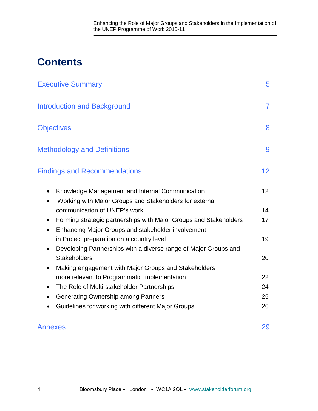# **Contents**

| <b>Executive Summary</b>                                                                                                                          | 5               |
|---------------------------------------------------------------------------------------------------------------------------------------------------|-----------------|
| <b>Introduction and Background</b>                                                                                                                | $\overline{7}$  |
| <b>Objectives</b>                                                                                                                                 | 8               |
| <b>Methodology and Definitions</b>                                                                                                                | 9               |
| <b>Findings and Recommendations</b>                                                                                                               | 12              |
| Knowledge Management and Internal Communication<br>Working with Major Groups and Stakeholders for external<br>$\bullet$                           | 12 <sup>2</sup> |
| communication of UNEP's work                                                                                                                      | 14              |
| Forming strategic partnerships with Major Groups and Stakeholders<br>$\bullet$<br>Enhancing Major Groups and stakeholder involvement<br>$\bullet$ | 17              |
| in Project preparation on a country level<br>Developing Partnerships with a diverse range of Major Groups and                                     | 19              |
| <b>Stakeholders</b>                                                                                                                               | 20              |
| Making engagement with Major Groups and Stakeholders                                                                                              |                 |
| more relevant to Programmatic Implementation                                                                                                      | 22              |
| The Role of Multi-stakeholder Partnerships<br>٠                                                                                                   | 24              |
| <b>Generating Ownership among Partners</b><br>$\bullet$                                                                                           | 25              |
| Guidelines for working with different Major Groups                                                                                                | 26              |

# Annexes 29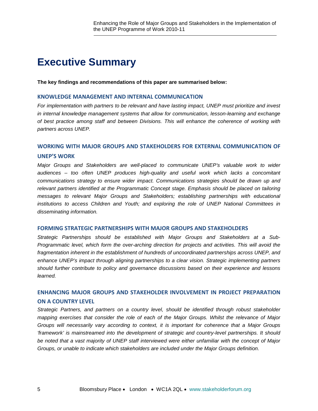# **Executive Summary**

**The key findings and recommendations of this paper are summarised below:**

#### **KNOWLEDGE MANAGEMENT AND INTERNAL COMMUNICATION**

*For implementation with partners to be relevant and have lasting impact, UNEP must prioritize and invest in internal knowledge management systems that allow for communication, lesson-learning and exchange of best practice among staff and between Divisions. This will enhance the coherence of working with partners across UNEP.*

#### **WORKING WITH MAJOR GROUPS AND STAKEHOLDERS FOR EXTERNAL COMMUNICATION OF**

#### **UNEP'S WORK**

*Major Groups and Stakeholders are well-placed to communicate UNEP's valuable work to wider audiences – too often UNEP produces high-quality and useful work which lacks a concomitant communications strategy to ensure wider impact. Communications strategies should be drawn up and relevant partners identified at the Programmatic Concept stage. Emphasis should be placed on tailoring messages to relevant Major Groups and Stakeholders; establishing partnerships with educational institutions to access Children and Youth; and exploring the role of UNEP National Committees in disseminating information.*

#### **FORMING STRATEGIC PARTNERSHIPS WITH MAJOR GROUPS AND STAKEHOLDERS**

*Strategic Partnerships should be established with Major Groups and Stakeholders at a Sub-Programmatic level, which form the over-arching direction for projects and activities. This will avoid the fragmentation inherent in the establishment of hundreds of uncoordinated partnerships across UNEP, and enhance UNEP's impact through aligning partnerships to a clear vision. Strategic implementing partners should further contribute to policy and governance discussions based on their experience and lessons learned.* 

# **ENHANCING MAJOR GROUPS AND STAKEHOLDER INVOLVEMENT IN PROJECT PREPARATION ON A COUNTRY LEVEL**

*Strategic Partners, and partners on a country level, should be identified through robust stakeholder mapping exercises that consider the role of each of the Major Groups. Whilst the relevance of Major Groups will necessarily vary according to context, it is important for coherence that a Major Groups 'framework' is mainstreamed into the development of strategic and country-level partnerships. It should be noted that a vast majority of UNEP staff interviewed were either unfamiliar with the concept of Major Groups, or unable to indicate which stakeholders are included under the Major Groups definition.*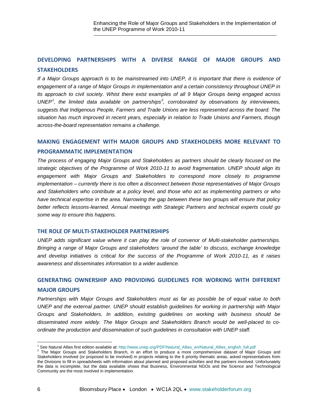# **DEVELOPING PARTNERSHIPS WITH A DIVERSE RANGE OF MAJOR GROUPS AND STAKEHOLDERS**

*If a Major Groups approach is to be mainstreamed into UNEP, it is important that there is evidence of engagement of a range of Major Groups in implementation and a certain consistency throughout UNEP in its approach to civil society. Whist there exist examples of all 9 Major Groups being engaged across UNEP[1](#page-5-0) , the limited data available on partnerships[2](#page-5-1) , corroborated by observations by interviewees, suggests that Indigenous People, Farmers and Trade Unions are less represented across the board. The situation has much improved in recent years, especially in relation to Trade Unions and Farmers, though across-the-board representation remains a challenge.* 

# **MAKING ENGAGEMENT WITH MAJOR GROUPS AND STAKEHOLDERS MORE RELEVANT TO**

#### **PROGRAMMATIC IMPLEMENTATION**

*The process of engaging Major Groups and Stakeholders as partners should be clearly focused on the strategic objectives of the Programme of Work 2010-11 to avoid fragmentation. UNEP should align its engagement with Major Groups and Stakeholders to correspond more closely to programme implementation – currently there is too often a disconnect between those representatives of Major Groups and Stakeholders who contribute at a policy level, and those who act as implementing partners or who have technical expertise in the area. Narrowing the gap between these two groups will ensure that policy better reflects lessons-learned. Annual meetings with Strategic Partners and technical experts could go some way to ensure this happens.*

#### **THE ROLE OF MULTI-STAKEHOLDER PARTNERSHIPS**

*UNEP adds significant value where it can play the role of convenor of Multi-stakeholder partnerships. Bringing a range of Major Groups and stakeholders 'around the table' to discuss, exchange knowledge and develop initiatives is critical for the success of the Programme of Work 2010-11, as it raises awareness and disseminates information to a wider audience.* 

# **GENERATING OWNERSHIP AND PROVIDING GUIDELINES FOR WORKING WITH DIFFERENT**

#### **MAJOR GROUPS**

*Partnerships with Major Groups and Stakeholders must as far as possible be of equal value to both UNEP and the external partner. UNEP should establish guidelines for working in partnership with Major Groups and Stakeholders. In addition, existing guidelines on working with business should be disseminated more widely. The Major Groups and Stakeholders Branch would be well-placed to coordinate the production and dissemination of such guidelines in consultation with UNEP staff.* 

<span id="page-5-0"></span><sup>&</sup>lt;sup>1</sup> See Natural Allies first edition available at: http://www.unep.org/PDF/Natural\_Allies\_en/Natural\_Allies\_english\_full.pdf

<span id="page-5-1"></span><sup>&</sup>lt;sup>2</sup> The Major Groups and Stakeholders Branch, in an effort to produce a more comprehensive dataset of Major Groups and Stakeholders involved (or proposed to be involved) in projects relating to the 6 priority thematic areas, asked representatives from the Divisions to fill in spreadsheets with information about planned and proposed activities and the partners involved. Unfortunately the data is incomplete, but the data available shows that Business, Environmental NGOs and the Science and Technological Community are the most involved in implementation.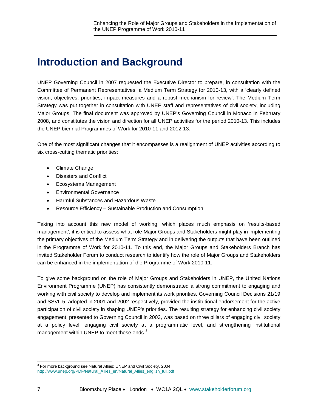# **Introduction and Background**

UNEP Governing Council in 2007 requested the Executive Director to prepare, in consultation with the Committee of Permanent Representatives, a Medium Term Strategy for 2010-13, with a 'clearly defined vision, objectives, priorities, impact measures and a robust mechanism for review'. The Medium Term Strategy was put together in consultation with UNEP staff and representatives of civil society, including Major Groups. The final document was approved by UNEP's Governing Council in Monaco in February 2008, and constitutes the vision and direction for all UNEP activities for the period 2010-13. This includes the UNEP biennial Programmes of Work for 2010-11 and 2012-13.

One of the most significant changes that it encompasses is a realignment of UNEP activities according to six cross-cutting thematic priorities:

- Climate Change
- Disasters and Conflict
- Ecosystems Management
- Environmental Governance
- Harmful Substances and Hazardous Waste
- Resource Efficiency Sustainable Production and Consumption

Taking into account this new model of working, which places much emphasis on 'results-based management', it is critical to assess what role Major Groups and Stakeholders might play in implementing the primary objectives of the Medium Term Strategy and in delivering the outputs that have been outlined in the Programme of Work for 2010-11. To this end, the Major Groups and Stakeholders Branch has invited Stakeholder Forum to conduct research to identify how the role of Major Groups and Stakeholders can be enhanced in the implementation of the Programme of Work 2010-11.

To give some background on the role of Major Groups and Stakeholders in UNEP, the United Nations Environment Programme (UNEP) has consistently demonstrated a strong commitment to engaging and working with civil society to develop and implement its work priorities. Governing Council Decisions 21/19 and SSVII.5, adopted in 2001 and 2002 respectively, provided the institutional endorsement for the active participation of civil society in shaping UNEP's priorities. The resulting strategy for enhancing civil society engagement, presented to Governing Council in 2003, was based on three pillars of engaging civil society at a policy level, engaging civil society at a programmatic level, and strengthening institutional management within UNEP to meet these ends.<sup>[3](#page-6-0)</sup>

<span id="page-6-0"></span><sup>&</sup>lt;sup>3</sup> For more background see Natural Allies: UNEP and Civil Society, 2004, [http://www.unep.org/PDF/Natural\\_Allies\\_en/Natural\\_Allies\\_english\\_full.pdf](http://www.unep.org/PDF/Natural_Allies_en/Natural_Allies_english_full.pdf)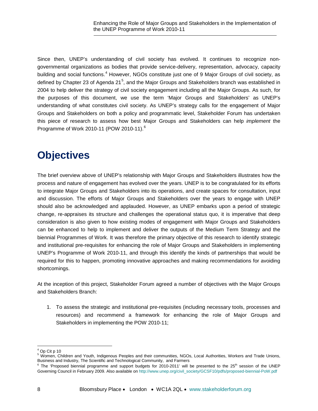Since then, UNEP's understanding of civil society has evolved. It continues to recognize nongovernmental organizations as bodies that provide service-delivery, representation, advocacy, capacity building and social functions.<sup>[4](#page-7-0)</sup> However, NGOs constitute just one of 9 Major Groups of civil society, as defined by Chapter 23 of Agenda 21<sup>[5](#page-7-1)</sup>, and the Major Groups and Stakeholders branch was established in 2004 to help deliver the strategy of civil society engagement including all the Major Groups. As such, for the purposes of this document, we use the term 'Major Groups and Stakeholders' as UNEP's understanding of what constitutes civil society. As UNEP's strategy calls for the engagement of Major Groups and Stakeholders on both a policy and programmatic level, Stakeholder Forum has undertaken this piece of research to assess how best Major Groups and Stakeholders can help *implement* the Programme of Work 2010-11 (POW 2010-11).[6](#page-7-2)

# **Objectives**

The brief overview above of UNEP's relationship with Major Groups and Stakeholders illustrates how the process and nature of engagement has evolved over the years. UNEP is to be congratulated for its efforts to integrate Major Groups and Stakeholders into its operations, and create spaces for consultation, input and discussion. The efforts of Major Groups and Stakeholders over the years to engage with UNEP should also be acknowledged and applauded. However, as UNEP embarks upon a period of strategic change, re-appraises its structure and challenges the operational status quo, it is imperative that deep consideration is also given to how existing modes of engagement with Major Groups and Stakeholders can be enhanced to help to implement and deliver the outputs of the Medium Term Strategy and the biennial Programmes of Work. It was therefore the primary objective of this research to identify strategic and institutional pre-requisites for enhancing the role of Major Groups and Stakeholders in implementing UNEP's Programme of Work 2010-11, and through this identify the kinds of partnerships that would be required for this to happen, promoting innovative approaches and making recommendations for avoiding shortcomings.

At the inception of this project, Stakeholder Forum agreed a number of objectives with the Major Groups and Stakeholders Branch:

1. To assess the strategic and institutional pre-requisites (including necessary tools, processes and resources) and recommend a framework for enhancing the role of Major Groups and Stakeholders in implementing the POW 2010-11;

ı  $4$  Op Cit p 10

<span id="page-7-1"></span><span id="page-7-0"></span><sup>5</sup> Women, Children and Youth, Indigenous Peoples and their communities, NGOs, Local Authorities, Workers and Trade Unions, Business and Industry, The Scientific and Technological Community, and Farmers

<span id="page-7-2"></span> $6$  The 'Proposed biennial programme and support budgets for 2010-2011' will be presented to the  $25<sup>th</sup>$  session of the UNEP Governing Council in February 2009. Also available o[n http://www.unep.org/civil\\_society/GCSF10/pdfs/proposed-biennial-PoW.pdf](http://www.unep.org/civil_society/GCSF10/pdfs/proposed-biennial-PoW.pdf)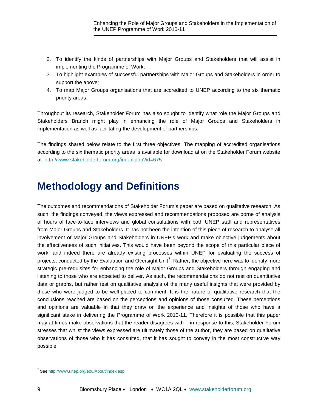- 2. To identify the kinds of partnerships with Major Groups and Stakeholders that will assist in implementing the Programme of Work;
- 3. To highlight examples of successful partnerships with Major Groups and Stakeholders in order to support the above;
- 4. To map Major Groups organisations that are accredited to UNEP according to the six thematic priority areas.

Throughout its research, Stakeholder Forum has also sought to identify what role the Major Groups and Stakeholders Branch might play in enhancing the role of Major Groups and Stakeholders in implementation as well as facilitating the development of partnerships.

The findings shared below relate to the first three objectives. The mapping of accredited organisations according to the six thematic priority areas is available for download at on the Stakeholder Forum website at: <http://www.stakeholderforum.org/index.php?id=675>

# **Methodology and Definitions**

The outcomes and recommendations of Stakeholder Forum's paper are based on qualitative research. As such, the findings conveyed, the views expressed and recommendations proposed are borne of analysis of hours of face-to-face interviews and global consultations with both UNEP staff and representatives from Major Groups and Stakeholders. It has not been the intention of this piece of research to analyse all involvement of Major Groups and Stakeholders in UNEP's work and make objective judgements about the effectiveness of such initiatives. This would have been beyond the scope of this particular piece of work, and indeed there are already existing processes within UNEP for evaluating the success of projects, conducted by the Evaluation and Oversight Unit<sup>[7](#page-8-0)</sup>. Rather, the objective here was to identify more strategic pre-requisites for enhancing the role of Major Groups and Stakeholders through engaging and listening to those who are expected to deliver. As such, the recommendations do not rest on quantitative data or graphs, but rather rest on qualitative analysis of the many useful insights that were provided by those who were judged to be well-placed to comment. It is the nature of qualitative research that the conclusions reached are based on the perceptions and opinions of those consulted. These perceptions and opinions are valuable in that they draw on the experience and insights of those who have a significant stake in delivering the Programme of Work 2010-11. Therefore it is possible that this paper may at times make observations that the reader disagrees with – in response to this, Stakeholder Forum stresses that whilst the views expressed are ultimately those of the author, they are based on qualitative observations of those who it has consulted, that it has sought to convey in the most constructive way possible.

<span id="page-8-0"></span><sup>7</sup> See <http://www.unep.org/eou/About/index.asp>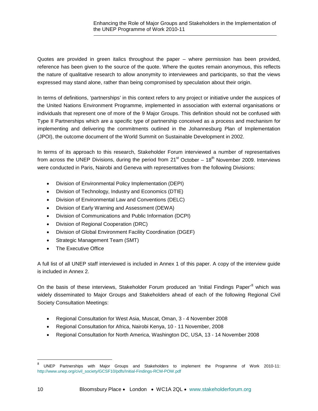Quotes are provided in green italics throughout the paper – where permission has been provided, reference has been given to the source of the quote. Where the quotes remain anonymous, this reflects the nature of qualitative research to allow anonymity to interviewees and participants, so that the views expressed may stand alone, rather than being compromised by speculation about their origin.

In terms of definitions, 'partnerships' in this context refers to any project or initiative under the auspices of the United Nations Environment Programme, implemented in association with external organisations or individuals that represent one of more of the 9 Major Groups. This definition should not be confused with Type II Partnerships which are a specific type of partnership conceived as a process and mechanism for implementing and delivering the commitments outlined in the Johannesburg Plan of Implementation (JPOI), the outcome document of the World Summit on Sustainable Development in 2002.

In terms of its approach to this research, Stakeholder Forum interviewed a number of representatives from across the UNEP Divisions, during the period from  $21<sup>st</sup>$  October –  $18<sup>th</sup>$  November 2009. Interviews were conducted in Paris, Nairobi and Geneva with representatives from the following Divisions:

- Division of Environmental Policy Implementation (DEPI)
- Division of Technology, Industry and Economics (DTIE)
- Division of Environmental Law and Conventions (DELC)
- Division of Early Warning and Assessment (DEWA)
- Division of Communications and Public Information (DCPI)
- Division of Regional Cooperation (DRC)
- Division of Global Environment Facility Coordination (DGEF)
- Strategic Management Team (SMT)
- The Executive Office

A full list of all UNEP staff interviewed is included in Annex 1 of this paper. A copy of the interview guide is included in Annex 2.

On the basis of these interviews, Stakeholder Forum produced an 'Initial Findings Paper'<sup>[8](#page-9-0)</sup> which was widely disseminated to Major Groups and Stakeholders ahead of each of the following Regional Civil Society Consultation Meetings:

- [Regional Consultation for West Asia, Muscat, Oman, 3 -](http://www.unep.org/rowa/index.asp) 4 November 2008
- [Regional Consultation for Africa, Nairobi Kenya, 10 -](http://www.unep.org/roa/Projects_Programmes/Civil_Society/Reg_Consult2008/indexupdate.asp) 11 November, 2008
- [Regional Consultation for North America, Washington DC, USA, 13 -](http://www.unep.org/rona/rcm2008/index.asp) 14 November 2008

<span id="page-9-0"></span>UNEP Partnerships with Major Groups and Stakeholders to implement the Programme of Work 2010-11: [http://www.unep.org/civil\\_society/GCSF10/pdfs/Initial-Findings-RCM-POW.pdf](http://www.unep.org/civil_society/GCSF10/pdfs/Initial-Findings-RCM-POW.pdf)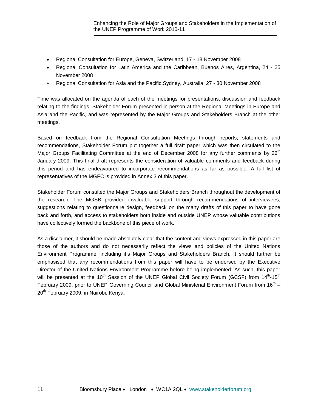- [Regional Consultation for Europe, Geneva, Switzerland, 17 -](http://www.unep.ch/roe/cso_meeting_2008.htm) 18 November 2008
- [Regional Consultation for Latin America and the Caribbean, Buenos Aires, Argentina, 24 -](http://www.pnuma.org/sociedad_civil_m/?menusup=11&menuinf=1) 25 [November 2008](http://www.pnuma.org/sociedad_civil_m/?menusup=11&menuinf=1)
- [Regional Consultation for Asia and the Pacific,Sydney, Australia, 27 -](http://www.roap.unep.org/program/civil_reg_meeting08.cfm) 30 November 2008

Time was allocated on the agenda of each of the meetings for presentations, discussion and feedback relating to the findings. Stakeholder Forum presented in person at the Regional Meetings in Europe and Asia and the Pacific, and was represented by the Major Groups and Stakeholders Branch at the other meetings.

Based on feedback from the Regional Consultation Meetings through reports, statements and recommendations, Stakeholder Forum put together a full draft paper which was then circulated to the Major Groups Facilitating Committee at the end of December 2008 for any further comments by 26<sup>th</sup> January 2009. This final draft represents the consideration of valuable comments and feedback during this period and has endeavoured to incorporate recommendations as far as possible. A full list of representatives of the MGFC is provided in Annex 3 of this paper.

Stakeholder Forum consulted the Major Groups and Stakeholders Branch throughout the development of the research. The MGSB provided invaluable support through recommendations of interviewees, suggestions relating to questionnaire design, feedback on the many drafts of this paper to have gone back and forth, and access to stakeholders both inside and outside UNEP whose valuable contributions have collectively formed the backbone of this piece of work.

As a disclaimer, it should be made absolutely clear that the content and views expressed in this paper are those of the authors and do not necessarily reflect the views and policies of the United Nations Environment Programme, including it's Major Groups and Stakeholders Branch. It should further be emphasised that any recommendations from this paper will have to be endorsed by the Executive Director of the United Nations Environment Programme before being implemented. As such, this paper will be presented at the 10<sup>th</sup> Session of the UNEP Global Civil Society Forum (GCSF) from 14<sup>th</sup>-15<sup>th</sup> February 2009, prior to UNEP Governing Council and Global Ministerial Environment Forum from  $16<sup>th</sup> -$ 20<sup>th</sup> February 2009, in Nairobi, Kenya.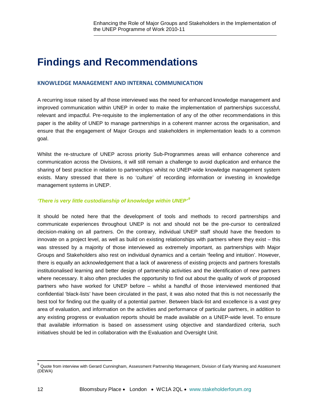# **Findings and Recommendations**

### **KNOWLEDGE MANAGEMENT AND INTERNAL COMMUNICATION**

A recurring issue raised by *all* those interviewed was the need for enhanced knowledge management and improved communication within UNEP in order to make the implementation of partnerships successful, relevant and impactful. Pre-requisite to the implementation of any of the other recommendations in this paper is the ability of UNEP to manage partnerships in a coherent manner across the organisation, and ensure that the engagement of Major Groups and stakeholders in implementation leads to a common goal.

Whilst the re-structure of UNEP across priority Sub-Programmes areas will enhance coherence and communication across the Divisions, it will still remain a challenge to avoid duplication and enhance the sharing of best practice in relation to partnerships whilst no UNEP-wide knowledge management system exists. Many stressed that there is no 'culture' of recording information or investing in knowledge management systems in UNEP.

#### *'There is very little custodianship of knowledge within UNEP'[9](#page-11-0)*

It should be noted here that the development of tools and methods to record partnerships and communicate experiences throughout UNEP is not and should not be the pre-cursor to centralized decision-making on all partners. On the contrary, individual UNEP staff should have the freedom to innovate on a project level, as well as build on existing relationships with partners where they exist – this was stressed by a majority of those interviewed as extremely important, as partnerships with Major Groups and Stakeholders also rest on individual dynamics and a certain 'feeling and intuition'. However, there is equally an acknowledgement that a lack of awareness of existing projects and partners forestalls institutionalised learning and better design of partnership activities and the identification of new partners where necessary. It also often precludes the opportunity to find out about the quality of work of proposed partners who have worked for UNEP before – whilst a handful of those interviewed mentioned that confidential 'black-lists' have been circulated in the past, it was also noted that this is not necessarily the best tool for finding out the quality of a potential partner. Between black-list and excellence is a vast grey area of evaluation, and information on the activities and performance of particular partners, in addition to any existing progress or evaluation reports should be made available on a UNEP-wide level. To ensure that available information is based on assessment using objective and standardized criteria, such initiatives should be led in collaboration with the Evaluation and Oversight Unit.

<span id="page-11-0"></span> $9$  Quote from interview with Gerard Cunningham, Assessment Partnership Management, Division of Early Warning and Assessment (DEWA)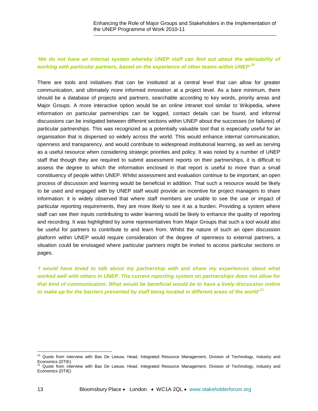### *'We do not have an internal system whereby UNEP staff can find out about the advisability of working with particular partners, based on the experience of other teams within UNEP'[10](#page-12-0)*

There are tools and initiatives that can be instituted at a central level that can allow for greater communication, and ultimately more informed innovation at a project level. As a bare minimum, there should be a database of projects and partners, searchable according to key words, priority areas and Major Groups. A more interactive option would be an online intranet tool similar to Wikipedia, where information on particular partnerships can be logged, contact details can be found, and informal discussions can be instigated between different sections within UNEP about the successes (or failures) of particular partnerships. This was recognized as a potentially valuable tool that is especially useful for an organisation that is dispersed so widely across the world. This would enhance internal communication, openness and transparency, and would contribute to widespread institutional learning, as well as serving as a useful resource when considering strategic priorities and policy. It was noted by a number of UNEP staff that though they are required to submit assessment reports on their partnerships, it is difficult to assess the degree to which the information enclosed in that report is useful to more than a small constituency of people within UNEP. Whilst assessment and evaluation continue to be important, an open process of discussion and learning would be beneficial in addition. That such a resource would be likely to be used and engaged with by UNEP staff would provide an incentive for project managers to share information: it is widely observed that where staff members are unable to see the use or impact of particular reporting requirements, they are more likely to see it as a burden. Providing a system where staff can see their inputs contributing to wider learning would be likely to enhance the quality of reporting and recording. It was highlighted by some representatives from Major Groups that such a tool would also be useful for partners to contribute to and learn from. Whilst the nature of such an open discussion platform within UNEP would require consideration of the degree of openness to external partners, a situation could be envisaged where particular partners might be invited to access particular sections or pages.

*'I would have loved to talk about my partnership with and share my experiences about what worked well with others in UNEP. The current reporting system on partnerships does not allow for that kind of communication. What would be beneficial would be to have a lively discussion online to make up for the barriers presented by staff being located in different areas of the world' [11](#page-12-1)*

<sup>&</sup>lt;sup>10</sup> Quote from interview with Bas De Leeuw, Head, Integrated Resource Management, Division of Technology, Industry and

<span id="page-12-1"></span><span id="page-12-0"></span>Economics (DTIE) <sup>11</sup> Quote from interview with Bas De Leeuw, Head, Integrated Resource Management, Division of Technology, Industry and Economics (DTIE)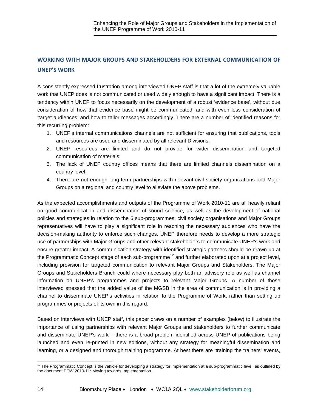# **WORKING WITH MAJOR GROUPS AND STAKEHOLDERS FOR EXTERNAL COMMUNICATION OF UNEP'S WORK**

A consistently expressed frustration among interviewed UNEP staff is that a lot of the extremely valuable work that UNEP does is not communicated or used widely enough to have a significant impact. There is a tendency within UNEP to focus necessarily on the development of a robust 'evidence base', without due consideration of how that evidence base might be communicated, and with even less consideration of 'target audiences' and how to tailor messages accordingly. There are a number of identified reasons for this recurring problem:

- 1. UNEP's internal communications channels are not sufficient for ensuring that publications, tools and resources are used and disseminated by all relevant Divisions;
- 2. UNEP resources are limited and do not provide for wider dissemination and targeted communication of materials;
- 3. The lack of UNEP country offices means that there are limited channels dissemination on a country level;
- 4. There are not enough long-term partnerships with relevant civil society organizations and Major Groups on a regional and country level to alleviate the above problems.

As the expected accomplishments and outputs of the Programme of Work 2010-11 are all heavily reliant on good communication and dissemination of sound science, as well as the development of national policies and strategies in relation to the 6 sub-programmes, civil society organisations and Major Groups representatives will have to play a significant role in reaching the necessary audiences who have the decision-making authority to enforce such changes. UNEP therefore needs to develop a more strategic use of partnerships with Major Groups and other relevant stakeholders to communicate UNEP's work and ensure greater impact. A communication strategy with identified strategic partners should be drawn up at the Programmatic Concept stage of each sub-programme<sup>[12](#page-13-0)</sup> and further elaborated upon at a project level, including provision for targeted communication to relevant Major Groups and Stakeholders. The Major Groups and Stakeholders Branch could where necessary play both an advisory role as well as channel information on UNEP's programmes and projects to relevant Major Groups. A number of those interviewed stressed that the added value of the MGSB in the area of communication is in providing a channel to disseminate UNEP's activities in relation to the Programme of Work, rather than setting up programmes or projects of its own in this regard.

Based on interviews with UNEP staff, this paper draws on a number of examples (below) to illustrate the importance of using partnerships with relevant Major Groups and stakeholders to further communicate and disseminate UNEP's work – there is a broad problem identified across UNEP of publications being launched and even re-printed in new editions, without any strategy for meaningful dissemination and learning, or a designed and thorough training programme. At best there are 'training the trainers' events,

<span id="page-13-0"></span> $12$  The Programmatic Concept is the vehicle for developing a strategy for implementation at a sub-programmatic level, as outlined by the document POW 2010-11: Moving towards Implementation.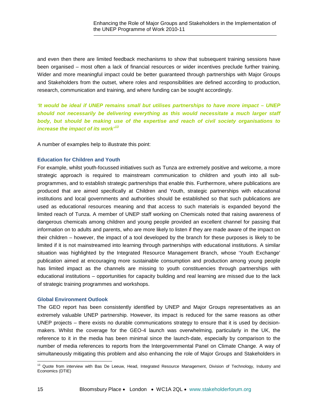and even then there are limited feedback mechanisms to show that subsequent training sessions have been organised – most often a lack of financial resources or wider incentives preclude further training. Wider and more meaningful impact could be better guaranteed through partnerships with Major Groups and Stakeholders from the outset, where roles and responsibilities are defined according to production, research, communication and training, and where funding can be sought accordingly.

*'It would be ideal if UNEP remains small but utilises partnerships to have more impact – UNEP should not necessarily be delivering everything as this would necessitate a much larger staff body, but should be making use of the expertise and reach of civil society organisations to increase the impact of its work'[13](#page-14-0)*

A number of examples help to illustrate this point:

### **Education for Children and Youth**

For example, whilst youth-focussed initiatives such as Tunza are extremely positive and welcome, a more strategic approach is required to mainstream communication to children and youth into all subprogrammes, and to establish strategic partnerships that enable this. Furthermore, where publications are produced that are aimed specifically at Children and Youth, strategic partnerships with educational institutions and local governments and authorities should be established so that such publications are used as educational resources meaning and that access to such materials is expanded beyond the limited reach of Tunza. A member of UNEP staff working on Chemicals noted that raising awareness of dangerous chemicals among children and young people provided an excellent channel for passing that information on to adults and parents, who are more likely to listen if they are made aware of the impact on their children – however, the impact of a tool developed by the branch for these purposes is likely to be limited if it is not mainstreamed into learning through partnerships with educational institutions. A similar situation was highlighted by the Integrated Resource Management Branch, whose 'Youth Exchange' publication aimed at encouraging more sustainable consumption and production among young people has limited impact as the channels are missing to youth constituencies through partnerships with educational institutions – opportunities for capacity building and real learning are missed due to the lack of strategic training programmes and workshops.

#### **Global Environment Outlook**

The GEO report has been consistently identified by UNEP and Major Groups representatives as an extremely valuable UNEP partnership. However, its impact is reduced for the same reasons as other UNEP projects – there exists no durable communications strategy to ensure that it is used by decisionmakers. Whilst the coverage for the GEO-4 launch was overwhelming, particularly in the UK, the reference to it in the media has been minimal since the launch-date, especially by comparison to the number of media references to reports from the Intergovernmental Panel on Climate Change. A way of simultaneously mitigating this problem and also enhancing the role of Major Groups and Stakeholders in

<span id="page-14-0"></span> $\overline{\phantom{0}}$ <sup>13</sup> Quote from interview with Bas De Leeuw, Head, Integrated Resource Management, Division of Technology, Industry and Economics (DTIE)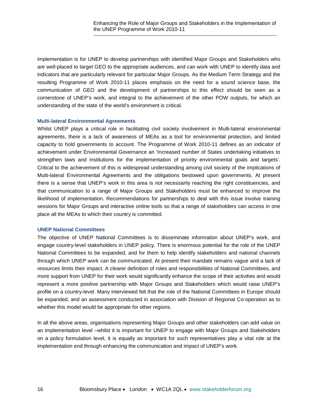implementation is for UNEP to develop partnerships with identified Major Groups and Stakeholders who are well-placed to target GEO to the appropriate audiences, and can work with UNEP to identify data and indicators that are particularly relevant for particular Major Groups. As the Medium Term Strategy and the resulting Programme of Work 2010-11 places emphasis on the need for a sound science base, the communication of GEO and the development of partnerships to this effect should be seen as a cornerstone of UNEP's work, and integral to the achievement of the other POW outputs, for which an understanding of the state of the world's environment is critical.

#### **Multi-lateral Environmental Agreements**

Whilst UNEP plays a critical role in facilitating civil society involvement in Multi-lateral environmental agreements, there is a lack of awareness of MEAs as a tool for environmental protection, and limited capacity to hold governments to account. The Programme of Work 2010-11 defines as an indicator of achievement under Environmental Governance an 'Increased number of States undertaking initiatives to strengthen laws and institutions for the implementation of priority environmental goals and targets'. Critical to the achievement of this is widespread understanding among civil society of the implications of Multi-lateral Environmental Agreements and the obligations bestowed upon governments. At present there is a sense that UNEP's work in this area is not necessarily reaching the right constituencies, and that communication to a range of Major Groups and Stakeholders must be enhanced to improve the likelihood of implementation. Recommendations for partnerships to deal with this issue involve training sessions for Major Groups and interactive online tools so that a range of stakeholders can access in one place all the MEAs to which their country is committed.

#### **UNEP National Committees**

The objective of UNEP National Committees is to disseminate information about UNEP's work, and engage country-level stakeholders in UNEP policy. There is enormous potential for the role of the UNEP National Committees to be expanded, and for them to help identify stakeholders and national channels through which UNEP work can be communicated. At present their mandate remains vague and a lack of resources limits their impact. A clearer definition of roles and responsibilities of National Committees, and more support from UNEP for their work would significantly enhance the scope of their activities and would represent a more positive partnership with Major Groups and Stakeholders which would raise UNEP's profile on a country-level. Many interviewed felt that the role of the National Committees in Europe should be expanded, and an assessment conducted in association with Division of Regional Co-operation as to whether this model would be appropriate for other regions.

In all the above areas, organisations representing Major Groups and other stakeholders can add value on an implementation level –whilst it is important for UNEP to engage with Major Groups and Stakeholders on a policy formulation level, it is equally as important for such representatives play a vital role at the implementation end through enhancing the communication and impact of UNEP's work.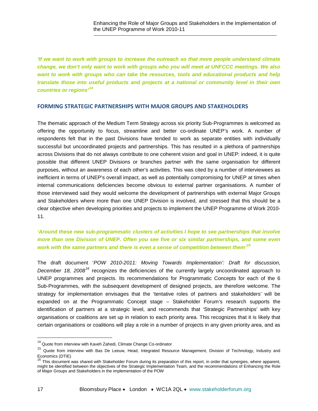*'If we want to work with groups to increase the outreach so that more people understand climate change, we don't only want to work with groups who you will meet at UNFCCC meetings. We also want to work with groups who can take the resources, tools and educational products and help translate those into useful products and projects at a national or community level in their own countries or regions'[14](#page-16-0)*

#### **FORMING STRATEGIC PARTNERSHIPS WITH MAJOR GROUPS AND STAKEHOLDERS**

The thematic approach of the Medium Term Strategy across six priority Sub-Programmes is welcomed as offering the opportunity to focus, streamline and better co-ordinate UNEP's work. A number of respondents felt that in the past Divisions have tended to work as separate entities with individually successful but uncoordinated projects and partnerships. This has resulted in a plethora of partnerships across Divisions that do not always contribute to one coherent vision and goal in UNEP: indeed, it is quite possible that different UNEP Divisions or branches partner with the same organisation for different purposes, without an awareness of each other's activities. This was cited by a number of interviewees as inefficient in terms of UNEP's overall impact, as well as potentially compromising for UNEP at times when internal communications deficiencies become obvious to external partner organisations. A number of those interviewed said they would welcome the development of partnerships with external Major Groups and Stakeholders where more than one UNEP Division is involved, and stressed that this should be a clear objective when developing priorities and projects to implement the UNEP Programme of Work 2010- 11.

# *'Around these new sub-programmatic clusters of activities I hope to see partnerships that involve more than one Division of UNEP. Often you see five or six similar partnerships, and some even work with the same partners and there is even a sense of competition between them' [15](#page-16-1)*

The draft document '*POW 2010-2011: Moving Towards Implementation': Draft for discussion,*  December 18, 2008<sup>[16](#page-16-2)</sup> recognizes the deficiencies of the currently largely uncoordinated approach to UNEP programmes and projects. Its recommendations for Programmatic Concepts for each of the 6 Sub-Programmes, with the subsequent development of designed projects, are therefore welcome. The strategy for implementation envisages that the 'tentative roles of partners and stakeholders' will be expanded on at the Programmatic Concept stage – Stakeholder Forum's research supports the identification of partners at a strategic level, and recommends that 'Strategic Partnerships' with key organisations or coalitions are set up in relation to each priority area. This recognizes that it is likely that certain organisations or coalitions will play a role in a number of projects in any given priority area, and as

<span id="page-16-0"></span> $14$  Quote from interview with Kaveh Zahedi, Climate Change Co-ordinator

<span id="page-16-1"></span><sup>&</sup>lt;sup>15</sup> Quote from interview with Bas De Leeuw, Head, Integrated Resource Management, Division of Technology, Industry and

<span id="page-16-2"></span>Economics (DTIE)<br><sup>16</sup> This document was shared with Stakeholder Forum during its preparation of this report, in order that synergies, where apparent, might be identified between the objectives of the Strategic Implementation Team, and the recommendations of Enhancing the Role of Major Groups and Stakeholders in the implementation of the POW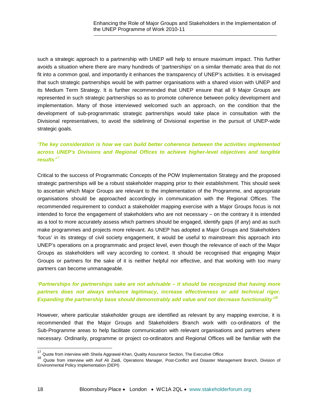such a strategic approach to a partnership with UNEP will help to ensure maximum impact. This further avoids a situation where there are many hundreds of 'partnerships' on a similar thematic area that do not fit into a common goal, and importantly it enhances the transparency of UNEP's activities. It is envisaged that such strategic partnerships would be with partner organisations with a shared vision with UNEP and its Medium Term Strategy. It is further recommended that UNEP ensure that all 9 Major Groups are represented in such strategic partnerships so as to promote coherence between policy development and implementation. Many of those interviewed welcomed such an approach, on the condition that the development of sub-programmatic strategic partnerships would take place in consultation with the Divisional representatives, to avoid the sidelining of Divisional expertise in the pursuit of UNEP-wide strategic goals.

### *'The key consideration is how we can build better coherence between the activities implemented across UNEP's Divisions and Regional Offices to achieve higher-level objectives and tangible results' [17](#page-17-0)*

Critical to the success of Programmatic Concepts of the POW Implementation Strategy and the proposed strategic partnerships will be a robust stakeholder mapping prior to their establishment. This should seek to ascertain which Major Groups are relevant to the implementation of the Programme, and appropriate organisations should be approached accordingly in communication with the Regional Offices. The recommended requirement to conduct a stakeholder mapping exercise with a Major Groups focus is not intended to force the engagement of stakeholders who are not necessary – on the contrary it is intended as a tool to more accurately assess which partners should be engaged, identify gaps (if any) and as such make programmes and projects more relevant. As UNEP has adopted a Major Groups and Stakeholders 'focus' in its strategy of civil society engagement, it would be useful to mainstream this approach into UNEP's operations on a programmatic and project level, even though the relevance of each of the Major Groups as stakeholders will vary according to context. It should be recognised that engaging Major Groups or partners for the sake of it is neither helpful nor effective, and that working with too many partners can become unmanageable.

# *'Partnerships for partnerships sake are not advisable – it should be recognized that having more partners does not always enhance legitimacy, increase effectiveness or add technical rigor. Expanding the partnership base should demonstrably add value and not decrease functionality' [18](#page-17-1)*

However, where particular stakeholder groups are identified as relevant by any mapping exercise, it is recommended that the Major Groups and Stakeholders Branch work with co-ordinators of the Sub-Programme areas to help facilitate communication with relevant organisations and partners where necessary. Ordinarily, programme or project co-ordinators and Regional Offices will be familiar with the

<sup>&</sup>lt;sup>17</sup> Quote from interview with Sheila Aggrawal-Khan, Quality Assurance Section, The Executive Office

<span id="page-17-1"></span><span id="page-17-0"></span><sup>&</sup>lt;sup>18</sup> Quote from interview with Asif Ali Zaidi, Operations Manager, Post-Conflict and Disaster Management Branch, Division of Environmental Policy Implementation (DEPI)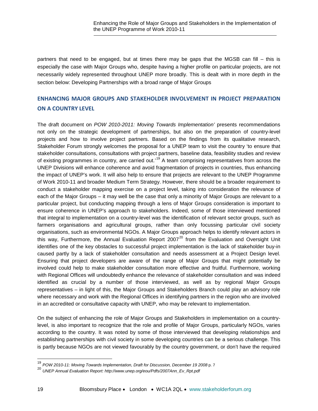partners that need to be engaged, but at times there may be gaps that the MGSB can fill – this is especially the case with Major Groups who, despite having a higher profile on particular projects, are not necessarily widely represented throughout UNEP more broadly. This is dealt with in more depth in the section below: Developing Partnerships with a broad range of Major Groups

# **ENHANCING MAJOR GROUPS AND STAKEHOLDER INVOLVEMENT IN PROJECT PREPARATION ON A COUNTRY LEVEL**

The draft document on *POW 2010-2011: Moving Towards Implementation'* presents recommendations not only on the strategic development of partnerships, but also on the preparation of country-level projects and how to involve project partners. Based on the findings from its qualitative research, Stakeholder Forum strongly welcomes the proposal for a UNEP team to visit the country 'to ensure that stakeholder consultations, consultations with project partners, baseline data, feasibility studies and review of existing programmes in country, are carried out.<sup>[19](#page-18-0)</sup> A team comprising representatives from across the UNEP Divisions will enhance coherence and avoid fragmentation of projects in countries, thus enhancing the impact of UNEP's work. It will also help to ensure that projects are relevant to the UNEP Programme of Work 2010-11 and broader Medium Term Strategy. However, there should be a broader requirement to conduct a stakeholder mapping exercise on a project level, taking into consideration the relevance of each of the Major Groups – it may well be the case that only a minority of Major Groups are relevant to a particular project, but conducting mapping through a lens of Major Groups consideration is important to ensure coherence in UNEP's approach to stakeholders. Indeed, some of those interviewed mentioned that integral to implementation on a country-level was the identification of relevant sector groups, such as farmers organisations and agricultural groups, rather than only focussing particular civil society organisations, such as environmental NGOs. A Major Groups approach helps to identify relevant actors in this way, Furthermore, the Annual Evaluation Report [20](#page-18-1)07<sup>20</sup> from the Evaluation and Oversight Unit identifies one of the key obstacles to successful project implementation is the lack of stakeholder buy-in caused partly by a lack of stakeholder consultation and needs assessment at a Project Design level. Ensuring that project developers are aware of the range of Major Groups that might potentially be involved could help to make stakeholder consultation more effective and fruitful. Furthermore, working with Regional Offices will undoubtedly enhance the relevance of stakeholder consultation and was indeed identified as crucial by a number of those interviewed, as well as by regional Major Groups representatives – in light of this, the Major Groups and Stakeholders Branch could play an advisory role where necessary and work with the Regional Offices in identifying partners in the region who are involved in an accredited or consultative capacity with UNEP, who may be relevant to implementation.

On the subject of enhancing the role of Major Groups and Stakeholders in implementation on a countrylevel, is also important to recognize that the role and profile of Major Groups, particularly NGOs, varies according to the country. It was noted by some of those interviewed that developing relationships and establishing partnerships with civil society in some developing countries can be a serious challenge. This is partly because NGOs are not viewed favourably by the country government, or don't have the required

<sup>19</sup> *POW 2010-11: Moving Towards Implementation, Draft for Discussion, December 19 2008* p. 7

<span id="page-18-1"></span><span id="page-18-0"></span><sup>20</sup> *UNEP Annual Evaluation Report[: http://www.unep.org/eou/Pdfs/2007Ann\\_Ev\\_Rpt.pdf](http://www.unep.org/eou/Pdfs/2007Ann_Ev_Rpt.pdf)*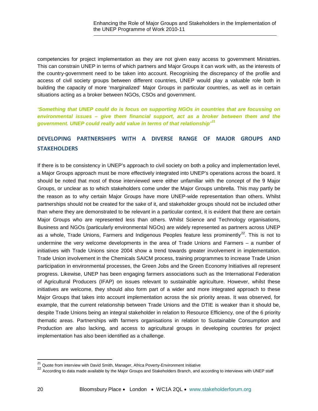competencies for project implementation as they are not given easy access to government Ministries. This can constrain UNEP in terms of which partners and Major Groups it can work with, as the interests of the country-government need to be taken into account. Recognising the discrepancy of the profile and access of civil society groups between different countries, UNEP would play a valuable role both in building the capacity of more 'marginalized' Major Groups in particular countries, as well as in certain situations acting as a broker between NGOs, CSOs and government.

*'Something that UNEP could do is focus on supporting NGOs in countries that are focussing on environmental issues – give them financial support, act as a broker between them and the government. UNEP could really add value in terms of that relationship'[21](#page-19-0)*

# **DEVELOPING PARTNERSHIPS WITH A DIVERSE RANGE OF MAJOR GROUPS AND STAKEHOLDERS**

If there is to be consistency in UNEP's approach to civil society on both a policy and implementation level, a Major Groups approach must be more effectively integrated into UNEP's operations across the board. It should be noted that most of those interviewed were either unfamiliar with the concept of the 9 Major Groups, or unclear as to which stakeholders come under the Major Groups umbrella. This may partly be the reason as to why certain Major Groups have more UNEP-wide representation than others. Whilst partnerships should not be created for the sake of it, and stakeholder groups should not be included other than where they are demonstrated to be relevant in a particular context, it is evident that there are certain Major Groups who are represented less than others. Whilst Science and Technology organisations, Business and NGOs (particularly environmental NGOs) are widely represented as partners across UNEP as a whole, Trade Unions, Farmers and Indigenous Peoples feature less prominently<sup>[22](#page-19-1)</sup>. This is not to undermine the very welcome developments in the area of Trade Unions and Farmers – a number of initiatives with Trade Unions since 2004 show a trend towards greater involvement in implementation. Trade Union involvement in the Chemicals SAICM process, training programmes to increase Trade Union participation in environmental processes, the Green Jobs and the Green Economy Initiatives all represent progress. Likewise, UNEP has been engaging farmers associations such as the International Federation of Agricultural Producers (IFAP) on issues relevant to sustainable agriculture. However, whilst these initiatives are welcome, they should also form part of a wider and more integrated approach to these Major Groups that takes into account implementation across the six priority areas. It was observed, for example, that the current relationship between Trade Unions and the DTIE is weaker than it should be, despite Trade Unions being an integral stakeholder in relation to Resource Efficiency, one of the 6 priority thematic areas. Partnerships with farmers organisations in relation to Sustainable Consumption and Production are also lacking, and access to agricultural groups in developing countries for project implementation has also been identified as a challenge.

<sup>&</sup>lt;sup>21</sup> Quote from interview with David Smith, Manager, Africa Poverty-Environment Initiative

<span id="page-19-1"></span><span id="page-19-0"></span><sup>22</sup> According to data made available by the Major Groups and Stakeholders Branch, and according to interviews with UNEP staff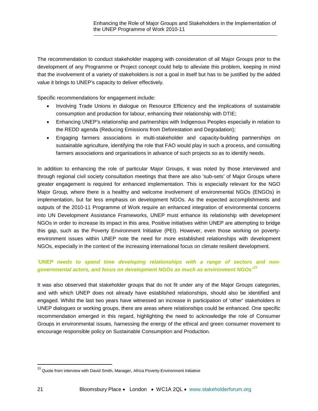The recommendation to conduct stakeholder mapping with consideration of all Major Groups prior to the development of any Programme or Project concept could help to alleviate this problem, keeping in mind that the involvement of a variety of stakeholders is not a goal in itself but has to be justified by the added value it brings to UNEP's capacity to deliver effectively.

Specific recommendations for engagement include:

- Involving Trade Unions in dialogue on Resource Efficiency and the implications of sustainable consumption and production for labour, enhancing their relationship with DTIE;
- Enhancing UNEP's relationship and partnerships with Indigenous Peoples especially in relation to the REDD agenda (Reducing Emissions from Deforestation and Degradation);
- Engaging farmers associations in multi-stakeholder and capacity-building partnerships on sustainable agriculture, identifying the role that FAO would play in such a process, and consulting farmers associations and organisations in advance of such projects so as to identify needs.

In addition to enhancing the role of particular Major Groups, it was noted by those interviewed and through regional civil society consultation meetings that there are also 'sub-sets' of Major Groups where greater engagement is required for enhanced implementation. This is especially relevant for the NGO Major Group, where there is a healthy and welcome involvement of environmental NGOs (ENGOs) in implementation, but far less emphasis on development NGOs. As the expected accomplishments and outputs of the 2010-11 Programme of Work require an enhanced integration of environmental concerns into UN Development Assistance Frameworks, UNEP must enhance its relationship with development NGOs in order to increase its impact in this area. Positive initiatives within UNEP are attempting to bridge this gap, such as the Poverty Environment Initiative (PEI). However, even those working on povertyenvironment issues within UNEP note the need for more established relationships with development NGOs, especially in the context of the increasing international focus on climate resilient development.

### *'UNEP needs to spend time developing relationships with a range of sectors and nongovernmental actors, and focus on development NGOs as much as environment NGOs' [23](#page-20-0)*

It was also observed that stakeholder groups that do not fit under any of the Major Groups categories, and with which UNEP does not already have established relationships, should also be identified and engaged. Whilst the last two years have witnessed an increase in participation of 'other' stakeholders in UNEP dialogues or working groups, there are areas where relationships could be enhanced. One specific recommendation emerged in this regard, highlighting the need to acknowledge the role of Consumer Groups in environmental issues, harnessing the energy of the ethical and green consumer movement to encourage responsible policy on Sustainable Consumption and Production.

<span id="page-20-0"></span><sup>&</sup>lt;sup>23</sup> Quote from interview with David Smith, Manager, Africa Poverty-Environment Initiative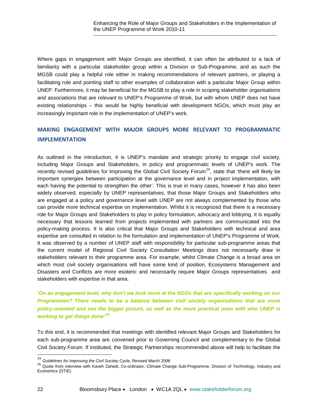Where gaps in engagement with Major Groups are identified, it can often be attributed to a lack of familiarity with a particular stakeholder group within a Division or Sub-Programme, and as such the MGSB could play a helpful role either in making recommendations of relevant partners, or playing a facilitating role and pointing staff to other examples of collaboration with a particular Major Group within UNEP. Furthermore, it may be beneficial for the MGSB to play a role in scoping stakeholder organisations and associations that are relevant to UNEP's Programme of Work, but with whom UNEP does not have existing relationships – this would be highly beneficial with development NGOs, which must play an increasingly important role in the implementation of UNEP's work.

# **MAKING ENGAGEMENT WITH MAJOR GROUPS MORE RELEVANT TO PROGRAMMATIC IMPLEMENTATION**

As outlined in the introduction, it is UNEP's mandate and strategic priority to engage civil society, including Major Groups and Stakeholders, in policy and programmatic levels of UNEP's work. The recently revised guidelines for Improving the Global Civil Society Forum<sup>[24](#page-21-0)</sup>, state that 'there will likely be important synergies between participation at the governance level and in project implementation, with each having the potential to strengthen the other'. This is true in many cases, however it has also been widely observed, especially by UNEP representatives, that those Major Groups and Stakeholders who are engaged at a policy and governance level with UNEP are not always complemented by those who can provide more technical expertise on implementation. Whilst it is recognized that there is a necessary role for Major Groups and Stakeholders to play in policy formulation, advocacy and lobbying, it is equally necessary that lessons learned from projects implemented with partners are communicated into the policy-making process. It is also critical that Major Groups and Stakeholders with technical and area expertise are consulted in relation to the formulation and implementation of UNEP's Programme of Work. It was observed by a number of UNEP staff with responsibility for particular sub-programme areas that the current model of Regional Civil Society Consultation Meetings does not necessarily draw in stakeholders relevant to their programme area. For example, whilst Climate Change is a broad area on which most civil society organisations will have some kind of position, Ecosystems Management and Disasters and Conflicts are more esoteric and necessarily require Major Groups representatives and stakeholders with expertise in that area.

*'On an engagement level, why don't we look more at the NGOs that are specifically working on our Programmes? There needs to be a balance between civil society organisations that are more policy-oriented and see the bigger picture, as well as the more practical ones with who UNEP is working to get things done' [25](#page-21-1)*

To this end, it is recommended that meetings with identified relevant Major Groups and Stakeholders for each sub-programme area are convened prior to Governing Council and complementary to the Global Civil Society Forum. If instituted, the Strategic Partnerships recommended above will help to facilitate the

<span id="page-21-0"></span> $^{24}$  Guidelines for Improving the Civil Society Cycle, Revised March 2008

<span id="page-21-1"></span><sup>&</sup>lt;sup>25</sup> Quote from interview with Kaveh Zahedi, Co-ordinator, Climate Change Sub-Programme, Division of Technology, Industry and Economics (DTIE)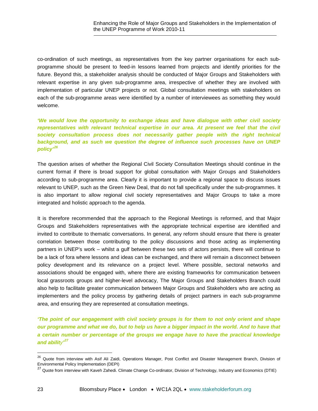co-ordination of such meetings, as representatives from the key partner organisations for each subprogramme should be present to feed-in lessons learned from projects and identify priorities for the future. Beyond this, a stakeholder analysis should be conducted of Major Groups and Stakeholders with relevant expertise in any given sub-programme area, irrespective of whether they are involved with implementation of particular UNEP projects or not. Global consultation meetings with stakeholders on each of the sub-programme areas were identified by a number of interviewees as something they would welcome.

*'We would love the opportunity to exchange ideas and have dialogue with other civil society*  representatives with relevant technical expertise in our area. At present we feel that the civil *society consultation process does not necessarily gather people with the right technical background, and as such we question the degree of influence such processes have on UNEP policy'[26](#page-22-0)*

The question arises of whether the Regional Civil Society Consultation Meetings should continue in the current format if there is broad support for global consultation with Major Groups and Stakeholders according to sub-programme area. Clearly it is important to provide a regional space to discuss issues relevant to UNEP, such as the Green New Deal, that do not fall specifically under the sub-programmes. It is also important to allow regional civil society representatives and Major Groups to take a more integrated and holistic approach to the agenda.

It is therefore recommended that the approach to the Regional Meetings is reformed, and that Major Groups and Stakeholders representatives with the appropriate technical expertise are identified and invited to contribute to thematic conversations. In general, any reform should ensure that there is greater correlation between those contributing to the policy discussions and those acting as implementing partners in UNEP's work – whilst a gulf between these two sets of actors persists, there will continue to be a lack of fora where lessons and ideas can be exchanged, and there will remain a disconnect between policy development and its relevance on a project level. Where possible, sectoral networks and associations should be engaged with, where there are existing frameworks for communication between local grassroots groups and higher-level advocacy, The Major Groups and Stakeholders Branch could also help to facilitate greater communication between Major Groups and Stakeholders who are acting as implementers and the policy process by gathering details of project partners in each sub-programme area, and ensuring they are represented at consultation meetings.

*'The point of our engagement with civil society groups is for them to not only orient and shape our programme and what we do, but to help us have a bigger impact in the world. And to have that a certain number or percentage of the groups we engage have to have the practical knowledge and ability' [27](#page-22-1)*

<span id="page-22-0"></span><sup>&</sup>lt;sup>26</sup> Quote from interview with Asif Ali Zaidi, Operations Manager, Post Conflict and Disaster Management Branch, Division of Environmental Policy Implementation (DEPI)

<span id="page-22-1"></span><sup>27</sup> Quote from interview with Kaveh Zahedi. Climate Change Co-ordinator, Division of Technology, Industry and Economics (DTIE)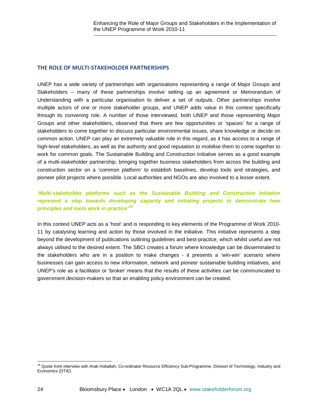#### **THE ROLE OF MULTI-STAKEHOLDER PARTNERSHIPS**

UNEP has a wide variety of partnerships with organisations representing a range of Major Groups and Stakeholders – many of these partnerships involve setting up an agreement or Memorandum of Understanding with a particular organisation to deliver a set of outputs. Other partnerships involve multiple actors of one or more stakeholder groups, and UNEP adds value in this context specifically through its convening role. A number of those interviewed, both UNEP and those representing Major Groups and other stakeholders, observed that there are few opportunities or 'spaces' for a range of stakeholders to come together to discuss particular environmental issues, share knowledge or decide on common action. UNEP can play an extremely valuable role in this regard, as it has access to a range of high-level stakeholders, as well as the authority and good reputation to mobilise them to come together to work for common goals. The Sustainable Building and Construction Initiative serves as a good example of a multi-stakeholder partnership, bringing together business stakeholders from across the building and construction sector on a 'common platform' to establish baselines, develop tools and strategies, and pioneer pilot projects where possible. Local authorities and NGOs are also involved to a lesser extent.

## *'Multi-stakeholder platforms such as the Sustainable Building and Construction Initiative represent a step towards developing capacity and initiating projects to demonstrate how principles and tools work in practice' [28](#page-23-0)*

In this context UNEP acts as a 'host' and is responding to key elements of the Programme of Work 2010- 11 by catalysing learning and action by those involved in the initiative. This initiative represents a step beyond the development of publications outlining guidelines and best-practice, which whilst useful are not always utilised to the desired extent. The SBCI creates a forum where knowledge can be disseminated to the stakeholders who are in a position to make changes - it presents a 'win-win' scenario where businesses can gain access to new information, network and pioneer sustainable building initiatives, and UNEP's role as a facilitator or 'broker' means that the results of these activities can be communicated to government decision-makers so that an enabling policy environment can be created.

<span id="page-23-0"></span> $^{28}$  Quote from interview with Arab Hoballah, Co-ordinator Resource Efficiency Sub-Programme, Division of Technology, Industry and Economics (DTIE)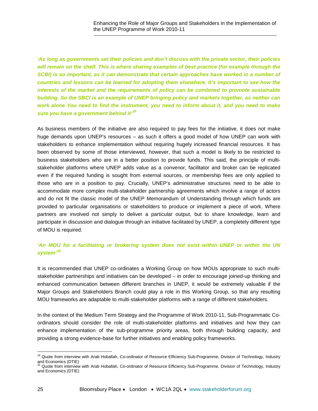*'As long as governments set their policies and don't discuss with the private sector, their policies will remain on the shelf. This is where sharing examples of best practice (for example through the SCBI) is so important, as it can demonstrate that certain approaches have worked in a number of countries and lessons can be learned for adopting them elsewhere. It's important to see how the interests of the market and the requirements of policy can be combined to promote sustainable building. So the SBCI is an example of UNEP bringing policy and markets together, as neither can work alone You need to find the instrument, you need to inform about it, and you need to make sure you have a government behind it' [29](#page-24-0)*

As business members of the initiative are also required to pay fees for the initiative, it does not make huge demands upon UNEP's resources – as such it offers a good model of how UNEP can work with stakeholders to enhance implementation without requiring hugely increased financial resources. It has been observed by some of those interviewed, however, that such a model is likely to be restricted to business stakeholders who are in a better position to provide funds. This said, the principle of multistakeholder platforms where UNEP adds value as a convenor, facilitator and broker can be replicated even if the required funding is sought from external sources, or membership fees are only applied to those who are in a position to pay. Crucially, UNEP's administrative structures need to be able to accommodate more complex multi-stakeholder partnership agreements which involve a range of actors and do not fit the classic model of the UNEP Memorandum of Understanding through which funds are provided to particular organisations or stakeholders to produce or implement a piece of work. Where partners are involved not simply to deliver a particular output, but to share knowledge, learn and participate in discussion and dialogue through an initiative facilitated by UNEP, a completely different type of MOU is required.

### *'An MOU for a facilitating or brokering system does not exist within UNEP or within the UN system' [30](#page-24-1)*

It is recommended that UNEP co-ordinates a Working Group on how MOUs appropriate to such multistakeholder partnerships and initiatives can be developed – in order to encourage joined-up thinking and enhanced communication between different branches in UNEP, it would be extremely valuable if the Major Groups and Stakeholders Branch could play a role in this Working Group, so that any resulting MOU frameworks are adaptable to multi-stakeholder platforms with a range of different stakeholders.

In the context of the Medium Term Strategy and the Programme of Work 2010-11, Sub-Programmatic Coordinators should consider the role of multi-stakeholder platforms and initiatives and how they can enhance implementation of the sub-programme priority areas, both through building capacity, and providing a strong evidence-base for further initiatives and enabling policy frameworks.

<span id="page-24-0"></span><sup>&</sup>lt;sup>29</sup> Quote from interview with Arab Hoballah, Co-ordinator of Resource Efficiency Sub-Programme, Division of Technology, Industry and Economics (DTIE)<br><sup>30</sup> Quote from interview with Arab Hoballah, Co-ordinator of Resource Efficiency Sub-Programme, Division of Technology, Industry

<span id="page-24-1"></span>and Economics (DTIE)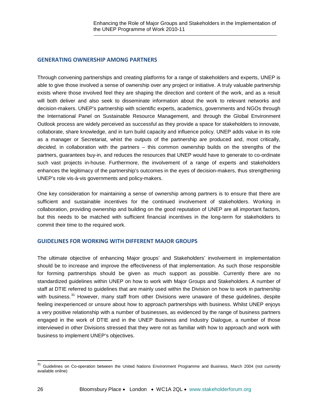#### **GENERATING OWNERSHIP AMONG PARTNERS**

Through convening partnerships and creating platforms for a range of stakeholders and experts, UNEP is able to give those involved a sense of ownership over any project or initiative. A truly valuable partnership exists where those involved feel they are shaping the direction and content of the work, and as a result will both deliver and also seek to disseminate information about the work to relevant networks and decision-makers. UNEP's partnership with scientific experts, academics, governments and NGOs through the International Panel on Sustainable Resource Management, and through the Global Environment Outlook process are widely perceived as successful as they provide a space for stakeholders to innovate, collaborate, share knowledge, and in turn build capacity and influence policy. UNEP adds value in its role as a manager or Secretariat, whist the outputs of the partnership are produced and, most critically, *decided,* in collaboration with the partners – this common ownership builds on the strengths of the partners, guarantees buy-in, and reduces the resources that UNEP would have to generate to co-ordinate such vast projects in-house. Furthermore, the involvement of a range of experts and stakeholders enhances the legitimacy of the partnership's outcomes in the eyes of decision-makers, thus strengthening UNEP's role vis-à-vis governments and policy-makers.

One key consideration for maintaining a sense of ownership among partners is to ensure that there are sufficient and sustainable incentives for the continued involvement of stakeholders. Working in collaboration, providing ownership and building on the good reputation of UNEP are all important factors, but this needs to be matched with sufficient financial incentives in the long-term for stakeholders to commit their time to the required work.

### **GUIDELINES FOR WORKING WITH DIFFERENT MAJOR GROUPS**

The ultimate objective of enhancing Major groups' and Stakeholders' involvement in implementation should be to increase and improve the effectiveness of that implementation. As such those responsible for forming partnerships should be given as much support as possible. Currently there are no standardized guidelines within UNEP on how to work with Major Groups and Stakeholders. A number of staff at DTIE referred to guidelines that are mainly used within the Division on how to work in partnership with business.<sup>[31](#page-25-0)</sup> However, many staff from other Divisions were unaware of these guidelines, despite feeling inexperienced or unsure about how to approach partnerships with business. Whilst UNEP enjoys a very positive relationship with a number of businesses, as evidenced by the range of business partners engaged in the work of DTIE and in the UNEP Business and Industry Dialogue, a number of those interviewed in other Divisions stressed that they were not as familiar with how to approach and work with business to implement UNEP's objectives.

<span id="page-25-0"></span><sup>&</sup>lt;sup>31</sup> Guidelines on Co-operation between the United Nations Environment Programme and Business, March 2004 (not currently available online)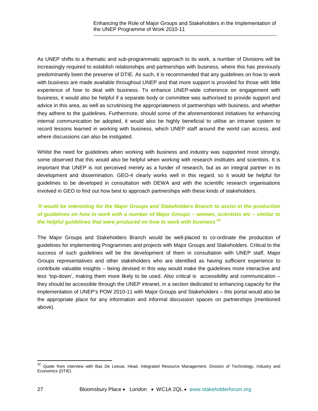As UNEP shifts to a thematic and sub-programmatic approach to its work, a number of Divisions will be increasingly required to establish relationships and partnerships with business, where this has previously predominantly been the preserve of DTIE. As such, it is recommended that any guidelines on how to work with business are made available throughout UNEP and that more support is provided for those with little experience of how to deal with business. To enhance UNEP-wide coherence on engagement with business, it would also be helpful if a separate body or committee was authorised to provide support and advice in this area, as well as scrutinising the appropriateness of partnerships with business, and whether they adhere to the guidelines. Furthermore, should some of the aforementioned initiatives for enhancing internal communication be adopted, it would also be highly beneficial to utilise an intranet system to record lessons learned in working with business, which UNEP staff around the world can access, and where discussions can also be instigated.

Whilst the need for quidelines when working with business and industry was supported most strongly, some observed that this would also be helpful when working with research institutes and scientists. It is important that UNEP is not perceived merely as a funder of research, but as an integral partner in its development and dissemination. GEO-4 clearly works well in this regard, so it would be helpful for guidelines to be developed in consultation with DEWA and with the scientific research organisations involved in GEO to find out how best to approach partnerships with these kinds of stakeholders.

# *'It would be interesting for the Major Groups and Stakeholders Branch to assist in the production of guidelines on how to work with a number of Major Groups – women, scientists etc – similar to the helpful guidelines that were produced on how to work with business' [32](#page-26-0)*

The Major Groups and Stakeholders Branch would be well-placed to co-ordinate the production of guidelines for implementing Programmes and projects with Major Groups and Stakeholders. Critical to the success of such guidelines will be the development of them in consultation with UNEP staff, Major Groups representatives and other stakeholders who are identified as having sufficient experience to contribute valuable insights – being devised in this way would make the guidelines more interactive and less 'top-down', making them more likely to be used. Also critical is accessibility and communication – they should be accessible through the UNEP intranet, in a section dedicated to enhancing capacity for the implementation of UNEP's POW 2010-11 with Major Groups and Stakeholders – this portal would also be the appropriate place for any information and informal discussion spaces on partnerships (mentioned above).

<span id="page-26-0"></span> $32$  Quote from interview with Bas De Leeuw, Head, Integrated Resource Management, Division of Technology, Industry and Economics (DTIE)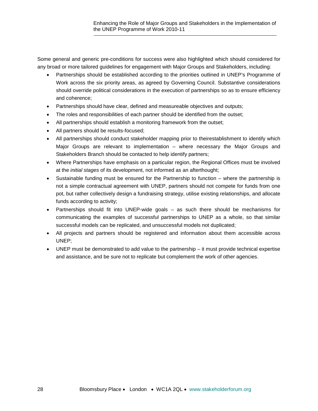Some general and generic pre-conditions for success were also highlighted which should considered for any broad or more tailored guidelines for engagement with Major Groups and Stakeholders, including:

- Partnerships should be established according to the priorities outlined in UNEP's Programme of Work across the six priority areas, as agreed by Governing Council. Substantive considerations should override political considerations in the execution of partnerships so as to ensure efficiency and coherence;
- Partnerships should have clear, defined and measureable objectives and outputs;
- The roles and responsibilities of each partner should be identified from the outset;
- All partnerships should establish a monitoring framework from the outset;
- All partners should be results-focused;
- All partnerships should conduct stakeholder mapping prior to theirestablishment to identify which Major Groups are relevant to implementation – where necessary the Major Groups and Stakeholders Branch should be contacted to help identify partners;
- Where Partnerships have emphasis on a particular region, the Regional Offices must be involved at the *initial stages* of its development, not informed as an afterthought;
- Sustainable funding must be ensured for the Partnership to function where the partnership is not a simple contractual agreement with UNEP, partners should not compete for funds from one pot, but rather collectively design a fundraising strategy, utilise existing relationships, and allocate funds according to activity;
- Partnerships should fit into UNEP-wide goals as such there should be mechanisms for communicating the examples of successful partnerships to UNEP as a whole, so that similar successful models can be replicated, and unsuccessful models not duplicated;
- All projects and partners should be registered and information about them accessible across UNEP;
- UNEP must be demonstrated to add value to the partnership it must provide technical expertise and assistance, and be sure not to replicate but complement the work of other agencies.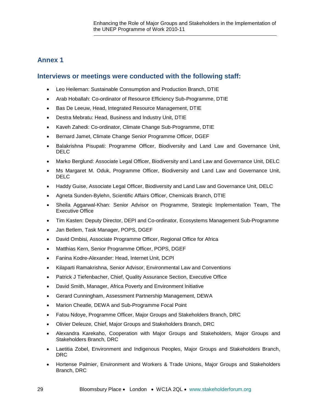# **Annex 1**

### **Interviews or meetings were conducted with the following staff:**

- Leo Heileman: Sustainable Consumption and Production Branch, DTIE
- Arab Hoballah: Co-ordinator of Resource Efficiency Sub-Programme, DTIE
- Bas De Leeuw, Head, Integrated Resource Management, DTIE
- Destra Mebratu: Head, Business and Industry Unit, DTIE
- Kaveh Zahedi: Co-ordinator, Climate Change Sub-Programme, DTIE
- Bernard Jamet, Climate Change Senior Programme Officer, DGEF
- Balakrishna Pisupati: Programme Officer, Biodiversity and Land Law and Governance Unit, DELC
- Marko Berglund: Associate Legal Officer, Biodiversity and Land Law and Governance Unit, DELC
- Ms Margaret M. Oduk, Programme Officer, Biodiversity and Land Law and Governance Unit, DELC
- Haddy Guise, Associate Legal Officer, Biodiversity and Land Law and Governance Unit, DELC
- Agneta Sunden-Bylehn, Scientific Affairs Officer, Chemicals Branch, DTIE
- Sheila Aggarwal-Khan: Senior Advisor on Programme, Strategic Implementation Team, The Executive Office
- Tim Kasten: Deputy Director, DEPI and Co-ordinator, Ecosystems Management Sub-Programme
- Jan Betlem, Task Manager, POPS, DGEF
- David Ombisi, Associate Programme Officer, Regional Office for Africa
- Matthias Kern, Senior Programme Officer, POPS, DGEF
- Fanina Kodre-Alexander: Head, Internet Unit, DCPI
- Kilaparti Ramakrishna, Senior Advisor, Environmental Law and Conventions
- Patrick J Tiefenbacher, Chief, Quality Assurance Section, Executive Office
- David Smith, Manager, Africa Poverty and Environment Initiative
- Gerard Cunningham, Assessment Partnership Management, DEWA
- Marion Cheatle, DEWA and Sub-Programme Focal Point
- Fatou Ndoye, Programme Officer, Major Groups and Stakeholders Branch, DRC
- Olivier Deleuze, Chief, Major Groups and Stakeholders Branch, DRC
- Alexandra Karekaho, Cooperation with Major Groups and Stakeholders, Major Groups and Stakeholders Branch, DRC
- Laetitia Zobel, Environment and Indigenous Peoples, Major Groups and Stakeholders Branch, DRC
- Hortense Palmier, Environment and Workers & Trade Unions, Major Groups and Stakeholders Branch, DRC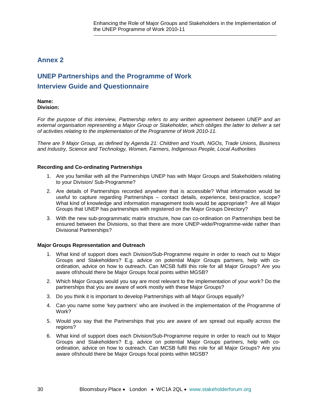# **Annex 2**

# **UNEP Partnerships and the Programme of Work Interview Guide and Questionnaire**

#### **Name: Division:**

*For the purpose of this interview, Partnership refers to any written agreement between UNEP and an external organisation representing a Major Group or Stakeholder, which obliges the latter to deliver a set of activities relating to the implementation of the Programme of Work 2010-11.*

*There are 9 Major Group, as defined by Agenda 21: Children and Youth, NGOs, Trade Unions, Business and Industry, Science and Technology, Women, Farmers, Indigenous People, Local Authorities*

#### **Recording and Co-ordinating Partnerships**

- 1. Are you familiar with all the Partnerships UNEP has with Major Groups and Stakeholders relating to your Division/ Sub-Programme?
- 2. Are details of Partnerships recorded anywhere that is accessible? What information would be useful to capture regarding Partnerships – contact details, experience, best-practice, scope? What kind of knowledge and information management tools would be appropriate? Are all Major Groups that UNEP has partnerships with registered on the Major Groups Directory?
- 3. With the new sub-programmatic matrix structure, how can co-ordination on Partnerships best be ensured between the Divisions, so that there are more UNEP-wide/Programme-wide rather than Divisional Partnerships?

#### **Major Groups Representation and Outreach**

- 1. What kind of support does each Division/Sub-Programme require in order to reach out to Major Groups and Stakeholders? E.g. advice on potential Major Groups partners, help with coordination, advice on how to outreach. Can MCSB fulfil this role for all Major Groups? Are you aware of/should there be Major Groups focal points within MGSB?
- 2. Which Major Groups would you say are most relevant to the implementation of your work? Do the partnerships that you are aware of work mostly with these Major Groups?
- 3. Do you think it is important to develop Partnerships with all Major Groups equally?
- 4. Can you name some 'key partners' who are involved in the implementation of the Programme of Work?
- 5. Would you say that the Partnerships that you are aware of are spread out equally across the regions?
- 6. What kind of support does each Division/Sub-Programme require in order to reach out to Major Groups and Stakeholders? E.g. advice on potential Major Groups partners, help with coordination, advice on how to outreach. Can MCSB fulfil this role for all Major Groups? Are you aware of/should there be Major Groups focal points within MGSB?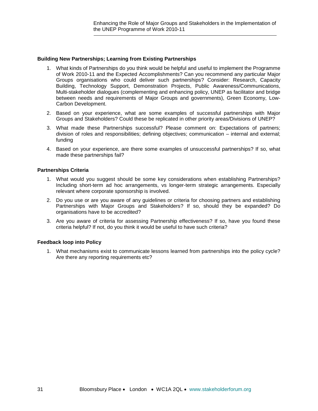#### **Building New Partnerships; Learning from Existing Partnerships**

- 1. What kinds of Partnerships do you think would be helpful and useful to implement the Programme of Work 2010-11 and the Expected Accomplishments? Can you recommend any particular Major Groups organisations who could deliver such partnerships? Consider: Research, Capacity Building, Technology Support, Demonstration Projects, Public Awareness/Communications, Multi-stakeholder dialogues (complementing and enhancing policy, UNEP as facilitator and bridge between needs and requirements of Major Groups and governments), Green Economy, Low-Carbon Development.
- 2. Based on your experience, what are some examples of successful partnerships with Major Groups and Stakeholders? Could these be replicated in other priority areas/Divisions of UNEP?
- 3. What made these Partnerships successful? Please comment on: Expectations of partners; division of roles and responsibilities; defining objectives; communication – internal and external; funding
- 4. Based on your experience, are there some examples of unsuccessful partnerships? If so, what made these partnerships fail?

#### **Partnerships Criteria**

- 1. What would you suggest should be some key considerations when establishing Partnerships? Including short-term ad hoc arrangements, vs longer-term strategic arrangements. Especially relevant where corporate sponsorship is involved.
- 2. Do you use or are you aware of any guidelines or criteria for choosing partners and establishing Partnerships with Major Groups and Stakeholders? If so, should they be expanded? Do organisations have to be accredited?
- 3. Are you aware of criteria for assessing Partnership effectiveness? If so, have you found these criteria helpful? If not, do you think it would be useful to have such criteria?

#### **Feedback loop into Policy**

1. What mechanisms exist to communicate lessons learned from partnerships into the policy cycle? Are there any reporting requirements etc?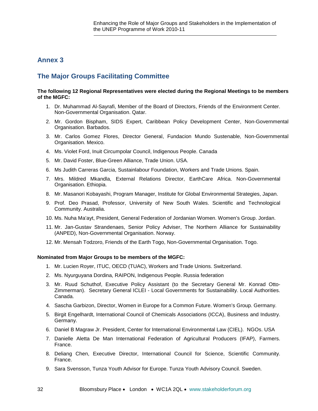# **Annex 3**

# **The Major Groups Facilitating Committee**

#### **The following 12 Regional Representatives were elected during the Regional Meetings to be members of the MGFC:**

- 1. Dr. Muhammad Al-Sayrafi, Member of the Board of Directors, Friends of the Environment Center. Non-Governmental Organisation. Qatar.
- 2. Mr. Gordon Bispham, SIDS Expert, Caribbean Policy Development Center, Non-Governmental Organisation. Barbados.
- 3. Mr. Carlos Gomez Flores, Director General, Fundacion Mundo Sustenable, Non-Governmental Organisation. Mexico.
- 4. Ms. Violet Ford, Inuit Circumpolar Council, Indigenous People. Canada
- 5. Mr. David Foster, Blue-Green Alliance, Trade Union. USA.
- 6. Ms Judith Carreras Garcia, Sustainlabour Foundation, Workers and Trade Unions. Spain.
- 7. Mrs. Mildred Mkandla, External Relations Director, EarthCare Africa. Non-Governmental Organisation. Ethiopia.
- 8. Mr. Masanori Kobayashi, Program Manager, Institute for Global Environmental Strategies, Japan.
- 9. Prof. Deo Prasad, Professor, University of New South Wales. Scientific and Technological Community. Australia.
- 10. Ms. Nuha Ma'ayt, President, General Federation of Jordanian Women. Women's Group. Jordan.
- 11. Mr. Jan-Gustav Strandenaes, Senior Policy Adviser, The Northern Alliance for Sustainability (ANPED), Non-Governmental Organisation. Norway.
- 12. Mr. Mensah Todzoro, Friends of the Earth Togo, Non-Governmental Organisation. Togo.

#### **Nominated from Major Groups to be members of the MGFC:**

- 1. Mr. Lucien Royer, ITUC, OECD (TUAC), Workers and Trade Unions. Switzerland.
- 2. Ms. Nyurguyana Dordina, RAIPON, Indigenous People. Russia federation
- 3. Mr. Ruud Schuthof, Executive Policy Assistant (to the Secretary General Mr. Konrad Otto-Zimmerman). Secretary General ICLEI - Local Governments for Sustainability. Local Authorities. Canada.
- 4. Sascha Garbizon, Director, Women in Europe for a Common Future. Women's Group. Germany.
- 5. Birgit Engelhardt, International Council of Chemicals Associations (ICCA), Business and Industry. Germany.
- 6. Daniel B Magraw Jr. President, Center for International Environmental Law (CIEL). NGOs. USA
- 7. Danielle Aletta De Man International Federation of Agricultural Producers (IFAP), Farmers. France.
- 8. Deliang Chen, Executive Director, International Council for Science, Scientific Community. France.
- 9. Sara Svensson, Tunza Youth Advisor for Europe. Tunza Youth Advisory Council. Sweden.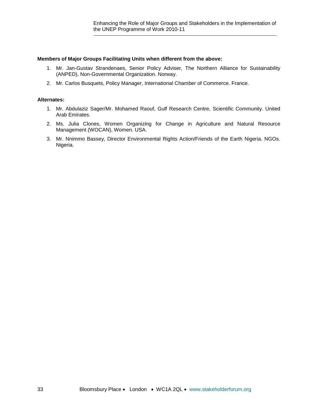#### **Members of Major Groups Facilitating Units when different from the above:**

- 1. Mr. Jan-Gustav Strandenaes, Senior Policy Adviser, The Northern Alliance for Sustainability (ANPED), Non-Governmental Organization. Norway.
- 2. Mr. Carlos Busquets, Policy Manager, International Chamber of Commerce. France.

#### **Alternates:**

- 1. Mr. Abdulaziz Sager/Mr. Mohamed Raouf, Gulf Research Centre, Scientific Community. United Arab Emirates.
- 2. Ms. Julia Clones, Women Organizing for Change in Agriculture and Natural Resource Management (WOCAN), Women. USA.
- 3. Mr. Nnimmo Bassey, Director Environmental Rights Action/Friends of the Earth Nigeria. NGOs. Nigeria.